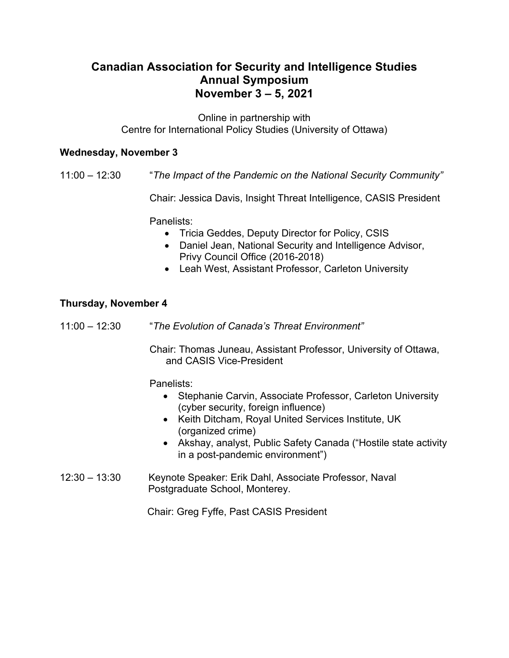# **Canadian Association for Security and Intelligence Studies Annual Symposium November 3 – 5, 2021**

Online in partnership with Centre for International Policy Studies (University of Ottawa)

#### **Wednesday, November 3**

11:00 – 12:30 "*The Impact of the Pandemic on the National Security Community"*

Chair: Jessica Davis, Insight Threat Intelligence, CASIS President

Panelists:

- Tricia Geddes, Deputy Director for Policy, CSIS
- Daniel Jean, National Security and Intelligence Advisor, Privy Council Office (2016-2018)
- Leah West, Assistant Professor, Carleton University

### **Thursday, November 4**

11:00 – 12:30 "*The Evolution of Canada's Threat Environment"*

Chair: Thomas Juneau, Assistant Professor, University of Ottawa, and CASIS Vice-President

Panelists:

- Stephanie Carvin, Associate Professor, Carleton University (cyber security, foreign influence)
- Keith Ditcham, Royal United Services Institute, UK (organized crime)
- Akshay, analyst, Public Safety Canada ("Hostile state activity in a post-pandemic environment")
- 12:30 13:30 Keynote Speaker: Erik Dahl, Associate Professor, Naval Postgraduate School, Monterey.

Chair: Greg Fyffe, Past CASIS President